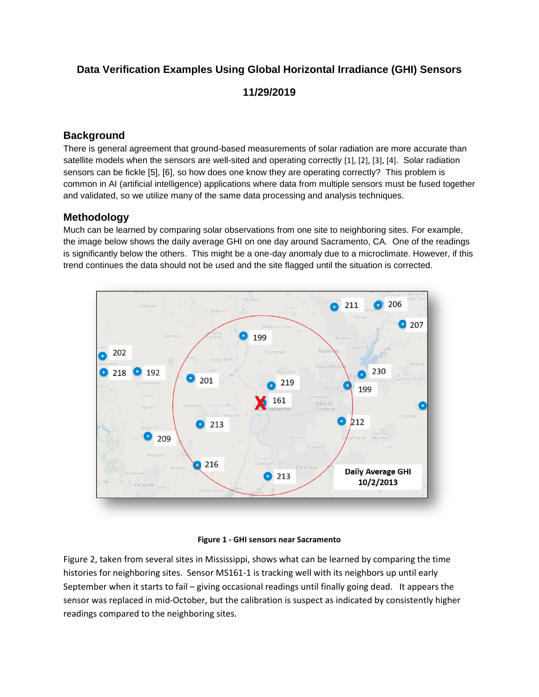# **Data Verification Examples Using Global Horizontal Irradiance (GHI) Sensors 11/29/2019**

## **Background**

There is general agreement that ground-based measurements of solar radiation are more accurate than satellite models when the sensors are well-sited and operating correctly [1], [2], [3], [4]. Solar radiation sensors can be fickle [5], [6], so how does one know they are operating correctly? This problem is common in AI (artificial intelligence) applications where data from multiple sensors must be fused together and validated, so we utilize many of the same data processing and analysis techniques.

### **Methodology**

Much can be learned by comparing solar observations from one site to neighboring sites. For example, the image below shows the daily average GHI on one day around Sacramento, CA. One of the readings is significantly below the others. This might be a one-day anomaly due to a microclimate. However, if this trend continues the data should not be used and the site flagged until the situation is corrected.



#### **Figure 1 - GHI sensors near Sacramento**

Figure 2, taken from several sites in Mississippi, shows what can be learned by comparing the time histories for neighboring sites. Sensor MS161-1 is tracking well with its neighbors up until early September when it starts to fail – giving occasional readings until finally going dead. It appears the sensor was replaced in mid-October, but the calibration is suspect as indicated by consistently higher readings compared to the neighboring sites.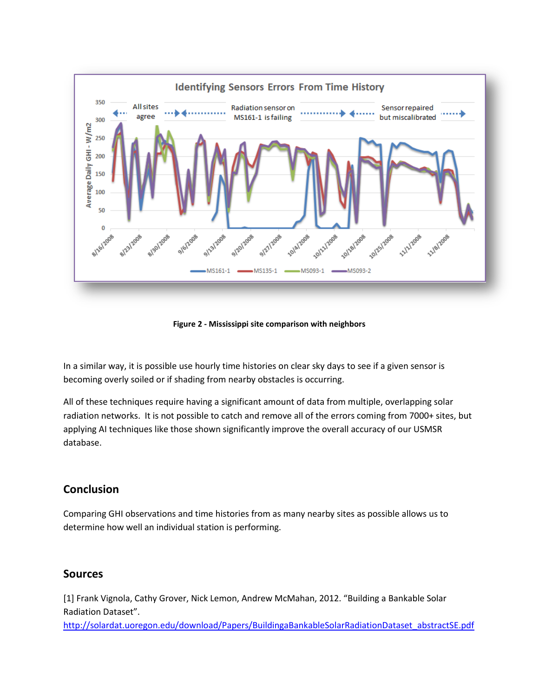

**Figure 2 - Mississippi site comparison with neighbors**

In a similar way, it is possible use hourly time histories on clear sky days to see if a given sensor is becoming overly soiled or if shading from nearby obstacles is occurring.

All of these techniques require having a significant amount of data from multiple, overlapping solar radiation networks. It is not possible to catch and remove all of the errors coming from 7000+ sites, but applying AI techniques like those shown significantly improve the overall accuracy of our USMSR database.

# **Conclusion**

Comparing GHI observations and time histories from as many nearby sites as possible allows us to determine how well an individual station is performing.

## **Sources**

[1] Frank Vignola, Cathy Grover, Nick Lemon, Andrew McMahan, 2012. "Building a Bankable Solar Radiation Dataset".

[http://solardat.uoregon.edu/download/Papers/BuildingaBankableSolarRadiationDataset\\_abstractSE.pdf](http://solardat.uoregon.edu/download/Papers/BuildingaBankableSolarRadiationDataset_abstractSE.pdf)